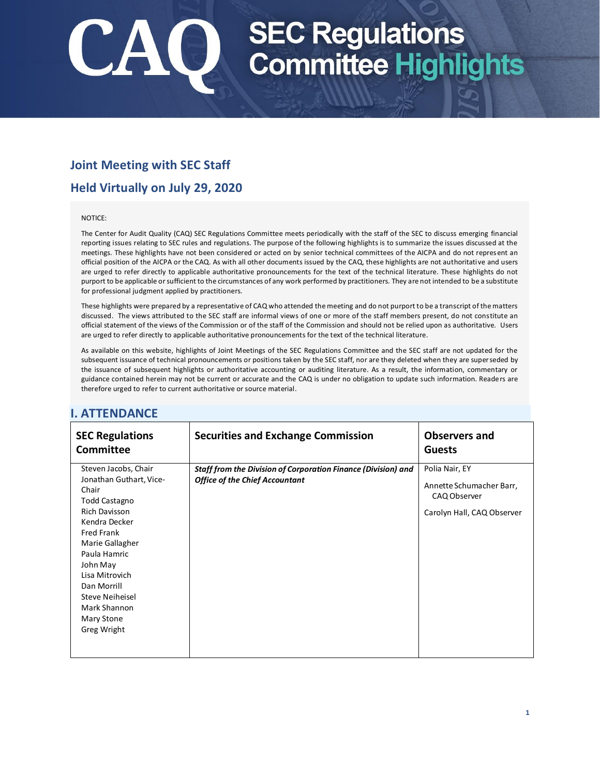# SEC Regulations<br>Q Committee Highlights

# **Joint Meeting with SEC Staff**

# **Held Virtually on July 29, 2020**

#### NOTICE:

The Center for Audit Quality (CAQ) SEC Regulations Committee meets periodically with the staff of the SEC to discuss emerging financial reporting issues relating to SEC rules and regulations. The purpose of the following highlights is to summarize the issues discussed at the meetings. These highlights have not been considered or acted on by senior technical committees of the AICPA and do not represent an official position of the AICPA or the CAQ. As with all other documents issued by the CAQ, these highlights are not authoritative and users are urged to refer directly to applicable authoritative pronouncements for the text of the technical literature. These highlights do not purport to be applicable or sufficient to the circumstances of any work performed by practitioners. They are not intended to be a substitute for professional judgment applied by practitioners.

These highlights were prepared by a representative of CAQ who attended the meeting and do not purport to be a transcript of the matters discussed. The views attributed to the SEC staff are informal views of one or more of the staff members present, do not constitute an official statement of the views of the Commission or of the staff of the Commission and should not be relied upon as authoritative. Users are urged to refer directly to applicable authoritative pronouncements for the text of the technical literature.

As available on this website, highlights of Joint Meetings of the SEC Regulations Committee and the SEC staff are not updated for the subsequent issuance of technical pronouncements or positions taken by the SEC staff, nor are they deleted when they are superseded by the issuance of subsequent highlights or authoritative accounting or auditing literature. As a result, the information, commentary or guidance contained herein may not be current or accurate and the CAQ is under no obligation to update such information. Readers are therefore urged to refer to current authoritative or source material.

| <b>SEC Regulations</b><br><b>Committee</b>                                                                                                                                                                                                                                                     | <b>Securities and Exchange Commission</b>                                                                     | <b>Observers and</b><br><b>Guests</b>                                                    |
|------------------------------------------------------------------------------------------------------------------------------------------------------------------------------------------------------------------------------------------------------------------------------------------------|---------------------------------------------------------------------------------------------------------------|------------------------------------------------------------------------------------------|
| Steven Jacobs, Chair<br>Jonathan Guthart, Vice-<br>Chair<br>Todd Castagno<br><b>Rich Davisson</b><br>Kendra Decker<br><b>Fred Frank</b><br>Marie Gallagher<br>Paula Hamric<br>John May<br>Lisa Mitrovich<br>Dan Morrill<br><b>Steve Neiheisel</b><br>Mark Shannon<br>Mary Stone<br>Greg Wright | <b>Staff from the Division of Corporation Finance (Division) and</b><br><b>Office of the Chief Accountant</b> | Polia Nair, EY<br>Annette Schumacher Barr,<br>CAQ Observer<br>Carolyn Hall, CAQ Observer |

### **I. ATTENDANCE**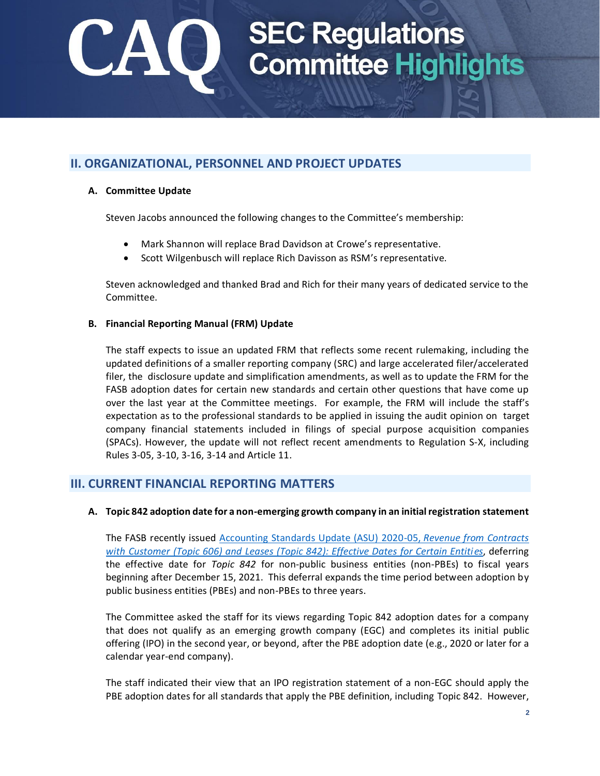# SEC Regulations<br>Committee Highlights

## **II. ORGANIZATIONAL, PERSONNEL AND PROJECT UPDATES**

### **A. Committee Update**

Steven Jacobs announced the following changes to the Committee's membership:

- Mark Shannon will replace Brad Davidson at Crowe's representative.
- Scott Wilgenbusch will replace Rich Davisson as RSM's representative.

Steven acknowledged and thanked Brad and Rich for their many years of dedicated service to the Committee.

#### **B. Financial Reporting Manual (FRM) Update**

The staff expects to issue an updated FRM that reflects some recent rulemaking, including the updated definitions of a smaller reporting company (SRC) and large accelerated filer/accelerated filer, the [disclosure update and simplification amendments,](https://www.sec.gov/rules/final/2018/33-10532.pdf) as well as to update the FRM for the FASB adoption dates for certain new standards and certain other questions that have come up over the last year at the Committee meetings. For example, the FRM will include the staff's expectation as to the professional standards to be applied in issuing the audit opinion on target company financial statements included in filings of special purpose acquisition companies (SPACs). However, the update will not reflect recent amendments to Regulation S-X, including Rules 3-05, 3-10, 3-16, 3-14 and Article 11.

### **III. CURRENT FINANCIAL REPORTING MATTERS**

#### **A. Topic 842 adoption date for a non-emerging growth company in an initial registration statement**

The FASB recently issued [Accounting Standards Update \(ASU\) 2020-05,](https://fasb.org/jsp/FASB/Document_C/DocumentPage?cid=1176174696379&acceptedDisclaimer=true) *Revenue from Contracts [with Customer \(Topic 606\) and Leases \(Topic 842\): Effective Dates for Certain Entities](https://fasb.org/jsp/FASB/Document_C/DocumentPage?cid=1176174696379&acceptedDisclaimer=true)*, deferring the effective date for *Topic 842* for non-public business entities (non-PBEs) to fiscal years beginning after December 15, 2021. This deferral expands the time period between adoption by public business entities (PBEs) and non-PBEs to three years.

The Committee asked the staff for its views regarding Topic 842 adoption dates for a company that does not qualify as an emerging growth company (EGC) and completes its initial public offering (IPO) in the second year, or beyond, after the PBE adoption date (e.g., 2020 or later for a calendar year-end company).

The staff indicated their view that an IPO registration statement of a non-EGC should apply the PBE adoption dates for all standards that apply the PBE definition, including Topic 842. However,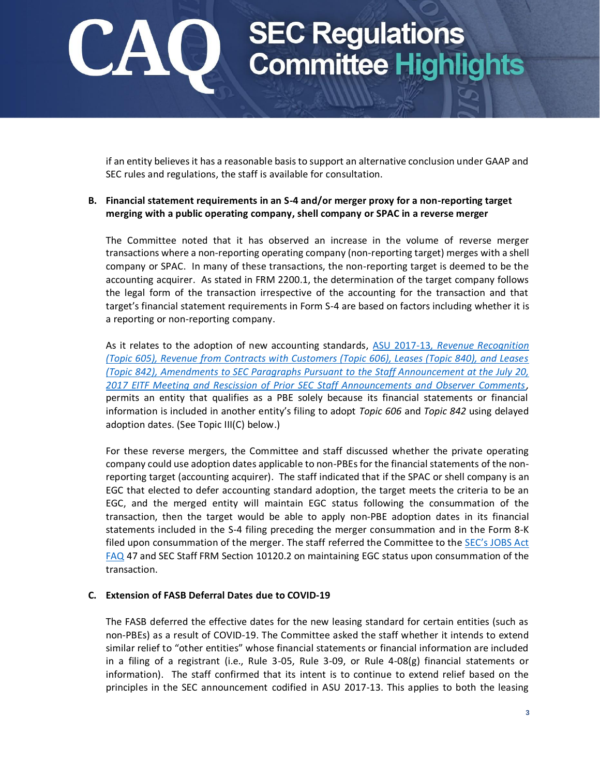# **SEC Regulations<br>Committee Highlights**

if an entity believes it has a reasonable basis to support an alternative conclusion under GAAP and SEC rules and regulations, the staff is available for consultation.

### **B. Financial statement requirements in an S-4 and/or merger proxy for a non-reporting target merging with a public operating company, shell company or SPAC in a reverse merger**

The Committee noted that it has observed an increase in the volume of reverse merger transactions where a non-reporting operating company (non-reporting target) merges with a shell company or SPAC. In many of these transactions, the non-reporting target is deemed to be the accounting acquirer. As stated in FRM 2200.1, the determination of the target company follows the legal form of the transaction irrespective of the accounting for the transaction and that target's financial statement requirements in Form S-4 are based on factors including whether it is a reporting or non-reporting company.

As it relates to the adoption of new accounting standards, ASU 2017-13*[, Revenue Recognition](https://www.fasb.org/jsp/FASB/Document_C/DocumentPage?cid=1176169363918&acceptedDisclaimer=true)  [\(Topic 605\), Revenue from Contracts with Customers \(Topic 606\), Leases \(Topic 840\), and Leases](https://www.fasb.org/jsp/FASB/Document_C/DocumentPage?cid=1176169363918&acceptedDisclaimer=true)  [\(Topic 842\), Amendments to SEC Paragraphs Pursuant to the Staff Announcement at the July 20,](https://www.fasb.org/jsp/FASB/Document_C/DocumentPage?cid=1176169363918&acceptedDisclaimer=true)  [2017 EITF Meeting and Rescission of Prior SEC Staff Announcements and Observer Comments,](https://www.fasb.org/jsp/FASB/Document_C/DocumentPage?cid=1176169363918&acceptedDisclaimer=true)* permits an entity that qualifies as a PBE solely because its financial statements or financial information is included in another entity's filing to adopt *Topic 606* and *Topic 842* using delayed adoption dates. (See Topic III(C) below.)

For these reverse mergers, the Committee and staff discussed whether the private operating company could use adoption dates applicable to non-PBEs for the financial statements of the nonreporting target (accounting acquirer). The staff indicated that if the SPAC or shell company is an EGC that elected to defer accounting standard adoption, the target meets the criteria to be an EGC, and the merged entity will maintain EGC status following the consummation of the transaction, then the target would be able to apply non-PBE adoption dates in its financial statements included in the S-4 filing preceding the merger consummation and in the Form 8-K filed upon consummation of the merger. The staff referred the Committee to the SEC's JOBS Act [FAQ](https://www.sec.gov/divisions/corpfin/guidance/cfjjobsactfaq-title-i-general.htm) 47 and SEC Staff FRM Section 10120.2 on maintaining EGC status upon consummation of the transaction.

#### **C. Extension of FASB Deferral Dates due to COVID-19**

The FASB deferred the effective dates for the new leasing standard for certain entities (such as non-PBEs) as a result of COVID-19. The Committee asked the staff whether it intends to extend similar relief to "other entities" whose financial statements or financial information are included in a filing of a registrant (i.e., Rule 3-05, Rule 3-09, or Rule 4-08(g) financial statements or information). The staff confirmed that its intent is to continue to extend relief based on the principles in the SEC announcement codified in ASU 2017-13. This applies to both the leasing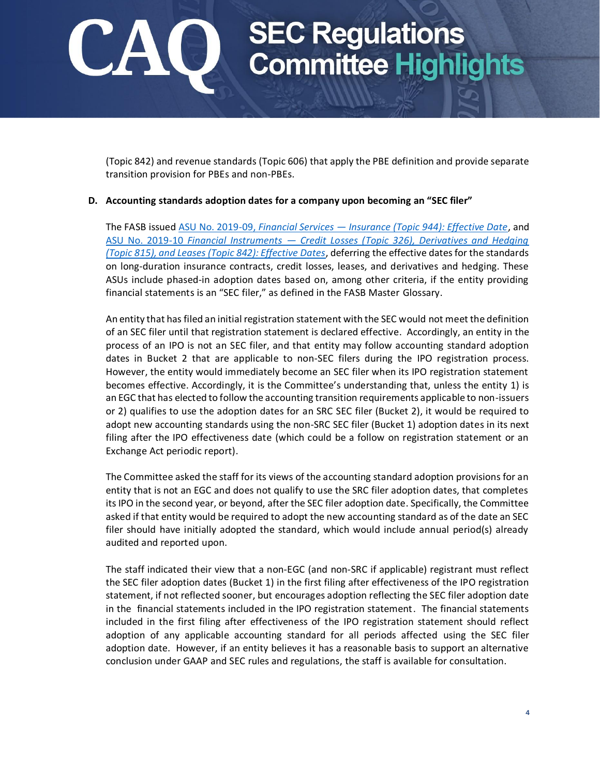# SEC Regulations<br>Committee Highlights

(Topic 842) and revenue standards (Topic 606) that apply the PBE definition and provide separate transition provision for PBEs and non-PBEs.

#### **D. Accounting standards adoption dates for a company upon becoming an "SEC filer"**

The FASB issued ASU No. 2019-09, *Financial Services — [Insurance \(Topic 944\): Effective Date](https://www.fasb.org/jsp/FASB/Document_C/DocumentPage?cid=1176173775805&acceptedDisclaimer=true)*, and ASU No. 2019-10 *Financial Instruments — [Credit Losses \(Topic 326\), Derivatives and Hedging](https://www.fasb.org/jsp/FASB/Document_C/DocumentPage?cid=1176173775344&acceptedDisclaimer=true)  [\(Topic 815\), and Leases \(Topic 842\): Effective Dates](https://www.fasb.org/jsp/FASB/Document_C/DocumentPage?cid=1176173775344&acceptedDisclaimer=true)*, deferring the effective dates for the standards on long-duration insurance contracts, credit losses, leases, and derivatives and hedging. These ASUs include phased-in adoption dates based on, among other criteria, if the entity providing financial statements is an "SEC filer," as defined in the FASB Master Glossary.

An entity that has filed an initial registration statement with the SEC would not meet the definition of an SEC filer until that registration statement is declared effective. Accordingly, an entity in the process of an IPO is not an SEC filer, and that entity may follow accounting standard adoption dates in Bucket 2 that are applicable to non-SEC filers during the IPO registration process. However, the entity would immediately become an SEC filer when its IPO registration statement becomes effective. Accordingly, it is the Committee's understanding that, unless the entity 1) is an EGC that has elected to follow the accounting transition requirements applicable to non-issuers or 2) qualifies to use the adoption dates for an SRC SEC filer (Bucket 2), it would be required to adopt new accounting standards using the non-SRC SEC filer (Bucket 1) adoption dates in its next filing after the IPO effectiveness date (which could be a follow on registration statement or an Exchange Act periodic report).

The Committee asked the staff for its views of the accounting standard adoption provisions for an entity that is not an EGC and does not qualify to use the SRC filer adoption dates, that completes its IPO in the second year, or beyond, after the SEC filer adoption date. Specifically, the Committee asked if that entity would be required to adopt the new accounting standard as of the date an SEC filer should have initially adopted the standard, which would include annual period(s) already audited and reported upon.

The staff indicated their view that a non-EGC (and non-SRC if applicable) registrant must reflect the SEC filer adoption dates (Bucket 1) in the first filing after effectiveness of the IPO registration statement, if not reflected sooner, but encourages adoption reflecting the SEC filer adoption date in the financial statements included in the IPO registration statement. The financial statements included in the first filing after effectiveness of the IPO registration statement should reflect adoption of any applicable accounting standard for all periods affected using the SEC filer adoption date. However, if an entity believes it has a reasonable basis to support an alternative conclusion under GAAP and SEC rules and regulations, the staff is available for consultation.